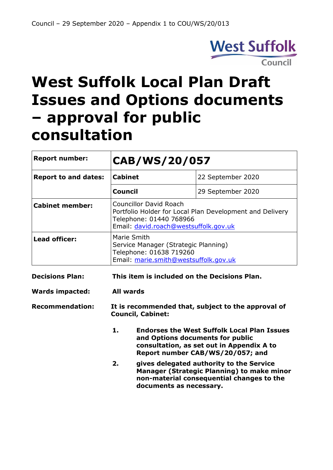

# **West Suffolk Local Plan Draft Issues and Options documents – approval for public consultation**

| <b>Report number:</b>       | CAB/WS/20/057                                                                                                                                                 |                                                                                                                                                                                                                                      |
|-----------------------------|---------------------------------------------------------------------------------------------------------------------------------------------------------------|--------------------------------------------------------------------------------------------------------------------------------------------------------------------------------------------------------------------------------------|
| <b>Report to and dates:</b> | <b>Cabinet</b>                                                                                                                                                | 22 September 2020                                                                                                                                                                                                                    |
|                             | Council                                                                                                                                                       | 29 September 2020                                                                                                                                                                                                                    |
| <b>Cabinet member:</b>      | <b>Councillor David Roach</b><br>Portfolio Holder for Local Plan Development and Delivery<br>Telephone: 01440 768966<br>Email: david.roach@westsuffolk.gov.uk |                                                                                                                                                                                                                                      |
| <b>Lead officer:</b>        | Marie Smith<br>Service Manager (Strategic Planning)<br>Telephone: 01638 719260<br>Email: marie.smith@westsuffolk.gov.uk                                       |                                                                                                                                                                                                                                      |
| <b>Decisions Plan:</b>      | This item is included on the Decisions Plan.                                                                                                                  |                                                                                                                                                                                                                                      |
| <b>Wards impacted:</b>      | <b>All wards</b>                                                                                                                                              |                                                                                                                                                                                                                                      |
| <b>Recommendation:</b>      | It is recommended that, subject to the approval of<br><b>Council, Cabinet:</b>                                                                                |                                                                                                                                                                                                                                      |
|                             | 1.<br>and Options documents for public<br>2.                                                                                                                  | <b>Endorses the West Suffolk Local Plan Issues</b><br>consultation, as set out in Appendix A to<br>Report number CAB/WS/20/057; and<br>gives delegated authority to the Service<br><b>Manager (Strategic Planning) to make minor</b> |
|                             | documents as necessary.                                                                                                                                       | non-material consequential changes to the                                                                                                                                                                                            |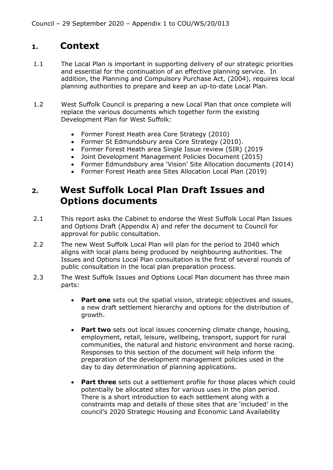# **1. Context**

- 1.1 The Local Plan is important in supporting delivery of our strategic priorities and essential for the continuation of an effective planning service. In addition, the Planning and Compulsory Purchase Act, (2004), requires local planning authorities to prepare and keep an up-to-date Local Plan.
- 1.2 West Suffolk Council is preparing a new Local Plan that once complete will replace the various documents which together form the existing Development Plan for West Suffolk:
	- Former Forest Heath area Core Strategy (2010)
	- Former St Edmundsbury area Core Strategy (2010).
	- Former Forest Heath area Single Issue review (SIR) (2019
	- Joint Development Management Policies Document (2015)
	- Former Edmundsbury area 'Vision' Site Allocation documents (2014)
	- Former Forest Heath area Sites Allocation Local Plan (2019)

# **2. West Suffolk Local Plan Draft Issues and Options documents**

- 2.1 This report asks the Cabinet to endorse the West Suffolk Local Plan Issues and Options Draft (Appendix A) and refer the document to Council for approval for public consultation.
- 2.2 The new West Suffolk Local Plan will plan for the period to 2040 which aligns with local plans being produced by neighbouring authorities. The Issues and Options Local Plan consultation is the first of several rounds of public consultation in the local plan preparation process.
- 2.3 The West Suffolk Issues and Options Local Plan document has three main parts:
	- **Part one** sets out the spatial vision, strategic objectives and issues, a new draft settlement hierarchy and options for the distribution of growth.
	- **Part two** sets out local issues concerning climate change, housing, employment, retail, leisure, wellbeing, transport, support for rural communities, the natural and historic environment and horse racing. Responses to this section of the document will help inform the preparation of the development management policies used in the day to day determination of planning applications.
	- **Part three** sets out a settlement profile for those places which could potentially be allocated sites for various uses in the plan period. There is a short introduction to each settlement along with a constraints map and details of those sites that are 'included' in the council's 2020 Strategic Housing and Economic Land Availability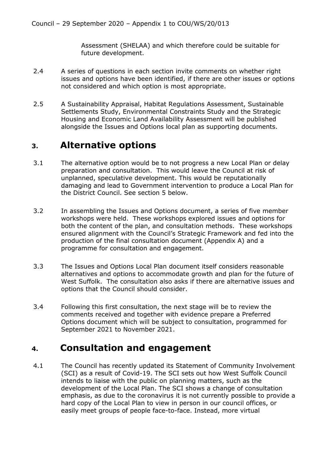Assessment (SHELAA) and which therefore could be suitable for future development.

- 2.4 A series of questions in each section invite comments on whether right issues and options have been identified, if there are other issues or options not considered and which option is most appropriate.
- 2.5 A Sustainability Appraisal, Habitat Regulations Assessment, Sustainable Settlements Study, Environmental Constraints Study and the Strategic Housing and Economic Land Availability Assessment will be published alongside the Issues and Options local plan as supporting documents.

## **3. Alternative options**

- 3.1 The alternative option would be to not progress a new Local Plan or delay preparation and consultation. This would leave the Council at risk of unplanned, speculative development. This would be reputationally damaging and lead to Government intervention to produce a Local Plan for the District Council. See section 5 below.
- 3.2 In assembling the Issues and Options document, a series of five member workshops were held. These workshops explored issues and options for both the content of the plan, and consultation methods. These workshops ensured alignment with the Council's Strategic Framework and fed into the production of the final consultation document (Appendix A) and a programme for consultation and engagement.
- 3.3 The Issues and Options Local Plan document itself considers reasonable alternatives and options to accommodate growth and plan for the future of West Suffolk. The consultation also asks if there are alternative issues and options that the Council should consider.
- 3.4 Following this first consultation, the next stage will be to review the comments received and together with evidence prepare a Preferred Options document which will be subject to consultation, programmed for September 2021 to November 2021.

## **4. Consultation and engagement**

4.1 The Council has recently updated its Statement of Community Involvement (SCI) as a result of Covid-19. The SCI sets out how West Suffolk Council intends to liaise with the public on planning matters, such as the development of the Local Plan. The SCI shows a change of consultation emphasis, as due to the coronavirus it is not currently possible to provide a hard copy of the Local Plan to view in person in our council offices, or easily meet groups of people face-to-face. Instead, more virtual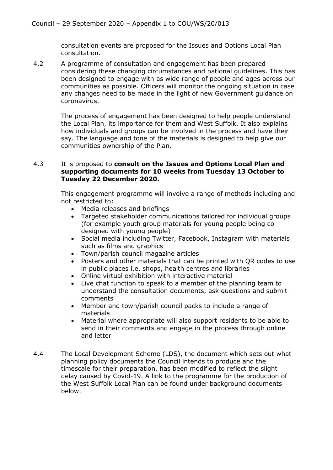consultation events are proposed for the Issues and Options Local Plan consultation.

4.2 A programme of consultation and engagement has been prepared considering these changing circumstances and national guidelines. This has been designed to engage with as wide range of people and ages across our communities as possible. Officers will monitor the ongoing situation in case any changes need to be made in the light of new Government guidance on coronavirus.

> The process of engagement has been designed to help people understand the Local Plan, its importance for them and West Suffolk. It also explains how individuals and groups can be involved in the process and have their say. The language and tone of the materials is designed to help give our communities ownership of the Plan.

#### 4.3 It is proposed to **consult on the Issues and Options Local Plan and supporting documents for 10 weeks from Tuesday 13 October to Tuesday 22 December 2020.**

This engagement programme will involve a range of methods including and not restricted to:

- Media releases and briefings
- Targeted stakeholder communications tailored for individual groups (for example youth group materials for young people being co designed with young people)
- Social media including Twitter, Facebook, Instagram with materials such as films and graphics
- Town/parish council magazine articles
- Posters and other materials that can be printed with QR codes to use in public places i.e. shops, health centres and libraries
- Online virtual exhibition with interactive material
- Live chat function to speak to a member of the planning team to understand the consultation documents, ask questions and submit comments
- Member and town/parish council packs to include a range of materials
- Material where appropriate will also support residents to be able to send in their comments and engage in the process through online and letter
- 4.4 The Local Development Scheme (LDS), the document which sets out what planning policy documents the Council intends to produce and the timescale for their preparation, has been modified to reflect the slight delay caused by Covid-19. A link to the programme for the production of the West Suffolk Local Plan can be found under background documents below.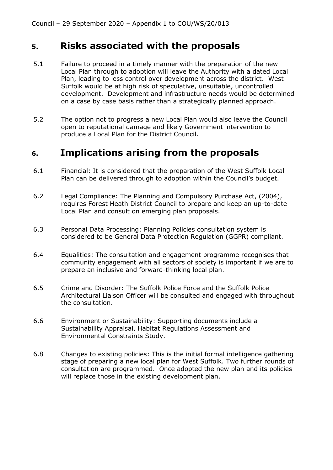### **5. Risks associated with the proposals**

- 5.1 Failure to proceed in a timely manner with the preparation of the new Local Plan through to adoption will leave the Authority with a dated Local Plan, leading to less control over development across the district. West Suffolk would be at high risk of speculative, unsuitable, uncontrolled development. Development and infrastructure needs would be determined on a case by case basis rather than a strategically planned approach.
- 5.2 The option not to progress a new Local Plan would also leave the Council open to reputational damage and likely Government intervention to produce a Local Plan for the District Council.

# **6. Implications arising from the proposals**

- 6.1 Financial: It is considered that the preparation of the West Suffolk Local Plan can be delivered through to adoption within the Council's budget.
- 6.2 Legal Compliance: The Planning and Compulsory Purchase Act, (2004), requires Forest Heath District Council to prepare and keep an up-to-date Local Plan and consult on emerging plan proposals.
- 6.3 Personal Data Processing: Planning Policies consultation system is considered to be General Data Protection Regulation (GGPR) compliant.
- 6.4 Equalities: The consultation and engagement programme recognises that community engagement with all sectors of society is important if we are to prepare an inclusive and forward-thinking local plan.
- 6.5 Crime and Disorder: The Suffolk Police Force and the Suffolk Police Architectural Liaison Officer will be consulted and engaged with throughout the consultation.
- 6.6 Environment or Sustainability: Supporting documents include a Sustainability Appraisal, Habitat Regulations Assessment and Environmental Constraints Study.
- 6.8 Changes to existing policies: This is the initial formal intelligence gathering stage of preparing a new local plan for West Suffolk. Two further rounds of consultation are programmed. Once adopted the new plan and its policies will replace those in the existing development plan.